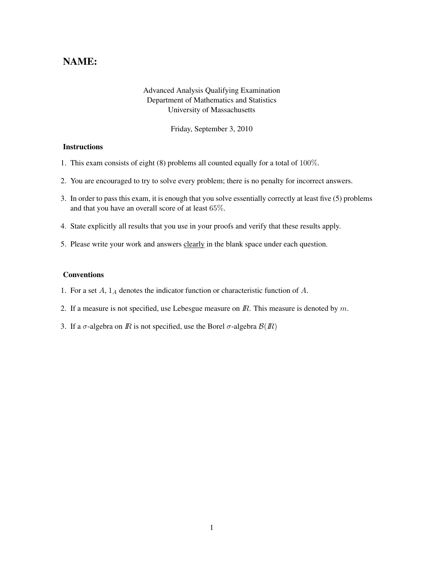# NAME:

## Advanced Analysis Qualifying Examination Department of Mathematics and Statistics University of Massachusetts

Friday, September 3, 2010

### **Instructions**

- 1. This exam consists of eight (8) problems all counted equally for a total of 100%.
- 2. You are encouraged to try to solve every problem; there is no penalty for incorrect answers.
- 3. In order to pass this exam, it is enough that you solve essentially correctly at least five (5) problems and that you have an overall score of at least 65%.
- 4. State explicitly all results that you use in your proofs and verify that these results apply.
- 5. Please write your work and answers clearly in the blank space under each question.

#### Conventions

- 1. For a set  $A$ ,  $1_A$  denotes the indicator function or characteristic function of  $A$ .
- 2. If a measure is not specified, use Lebesgue measure on  $\mathbb{R}$ . This measure is denoted by  $m$ .
- 3. If a  $\sigma$ -algebra on  $\bar{R}$  is not specified, use the Borel  $\sigma$ -algebra  $\mathcal{B}(I\!\!R)$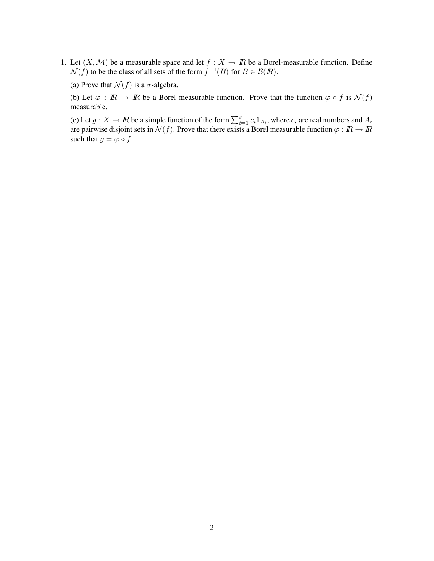1. Let  $(X, \mathcal{M})$  be a measurable space and let  $f : X \to \mathbb{R}$  be a Borel-measurable function. Define  $\mathcal{N}(f)$  to be the class of all sets of the form  $f^{-1}(B)$  for  $B \in \mathcal{B}(I\!\!R)$ .

(a) Prove that  $\mathcal{N}(f)$  is a  $\sigma$ -algebra.

(b) Let  $\varphi : \mathbb{R} \to \mathbb{R}$  be a Borel measurable function. Prove that the function  $\varphi \circ f$  is  $\mathcal{N}(f)$ measurable.

(c) Let  $g: X \to \mathbb{R}$  be a simple function of the form  $\sum_{i=1}^{s} c_i 1_{A_i}$ , where  $c_i$  are real numbers and  $A_i$ are pairwise disjoint sets in  $\mathcal{N}(f)$ . Prove that there exists a Borel measurable function  $\varphi : I\!\!R \to I\!\!R$ such that  $g = \varphi \circ f$ .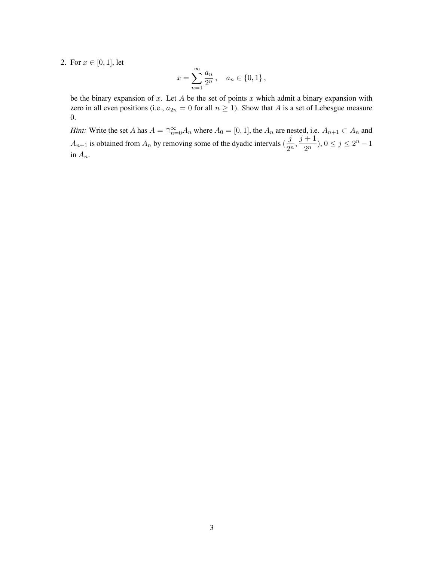2. For  $x \in [0, 1]$ , let

$$
x = \sum_{n=1}^{\infty} \frac{a_n}{2^n}, \quad a_n \in \{0, 1\},\
$$

be the binary expansion of  $x$ . Let  $A$  be the set of points  $x$  which admit a binary expansion with zero in all even positions (i.e.,  $a_{2n} = 0$  for all  $n \ge 1$ ). Show that A is a set of Lebesgue measure 0.

*Hint:* Write the set A has  $A = \bigcap_{n=0}^{\infty} A_n$  where  $A_0 = [0, 1]$ , the  $A_n$  are nested, i.e.  $A_{n+1} \subset A_n$  and  $A_{n+1}$  is obtained from  $A_n$  by removing some of the dyadic intervals  $\left(\frac{j}{2n}\right)$  $\frac{j}{2^n}, \frac{j+1}{2^n}$  $\frac{1}{2^n}$ ,  $0 \le j \le 2^n - 1$ in  $A_n$ .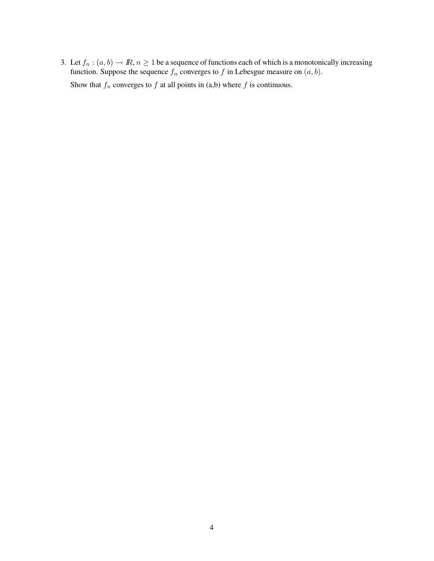3. Let  $f_n : (a, b) \to \mathbb{R}, n \ge 1$  be a sequence of functions each of which is a monotonically increasing function. Suppose the sequence  $f_n$  converges to f in Lebesgue measure on  $(a, b)$ . Show that  $f_n$  converges to  $f$  at all points in (a,b) where  $f$  is continuous.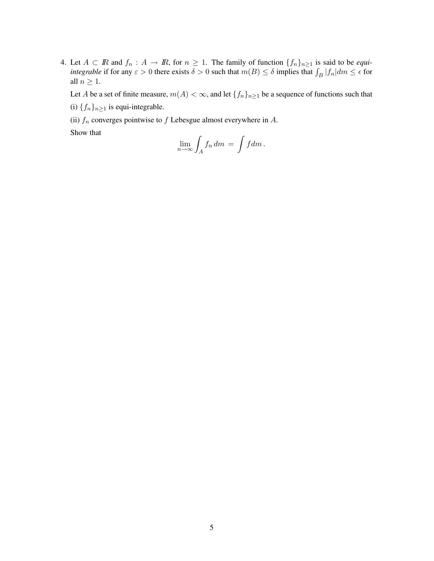4. Let  $A \subset \mathbb{R}$  and  $f_n : A \to \mathbb{R}$ , for  $n \geq 1$ . The family of function  $\{f_n\}_{n \geq 1}$  is said to be *equiintegrable* if for any  $\varepsilon > 0$  there exists  $\delta > 0$  such that  $m(B) \leq \delta$  implies that  $\int_B |f_n| dm \leq \epsilon$  for all  $n \geq 1$ .

Let A be a set of finite measure,  $m(A) < \infty$ , and let  $\{f_n\}_{n \geq 1}$  be a sequence of functions such that (i)  $\{f_n\}_{n\geq 1}$  is equi-integrable.

(ii)  $f_n$  converges pointwise to f Lebesgue almost everywhere in A.

Show that

$$
\lim_{n\to\infty}\int_A f_n dm = \int f dm.
$$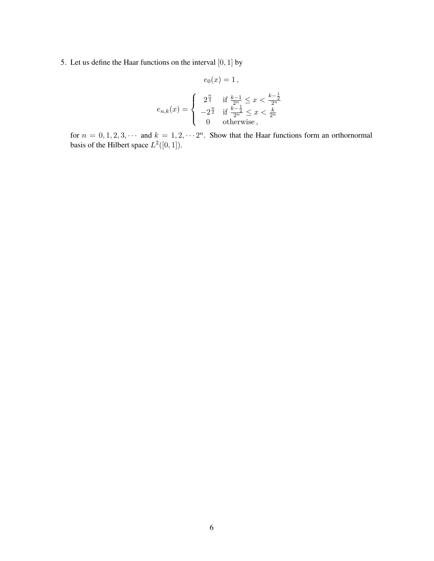## 5. Let us define the Haar functions on the interval  $[0, 1]$  by

$$
e_0(x) = 1,
$$
  
\n
$$
e_{n,k}(x) = \begin{cases} 2^{\frac{n}{2}} & \text{if } \frac{k-1}{2^n} \leq x < \frac{k-\frac{1}{2}}{2^n} \\ -2^{\frac{n}{2}} & \text{if } \frac{k-\frac{1}{2}}{2^n} \leq x < \frac{k}{2^n} \\ 0 & \text{otherwise} \end{cases}
$$

for  $n = 0, 1, 2, 3, \cdots$  and  $k = 1, 2, \cdots 2^n$ . Show that the Haar functions form an orthornormal basis of the Hilbert space  $L^2([0,1])$ .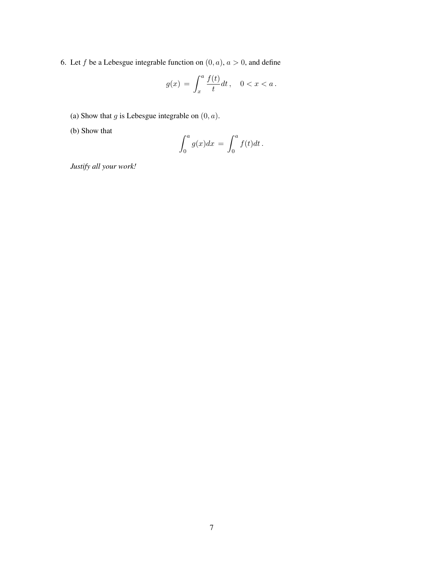6. Let f be a Lebesgue integrable function on  $(0, a)$ ,  $a > 0$ , and define

$$
g(x) = \int_x^a \frac{f(t)}{t} dt, \quad 0 < x < a \, .
$$

- (a) Show that  $g$  is Lebesgue integrable on  $(0, a)$ .
- (b) Show that

$$
\int_0^a g(x)dx = \int_0^a f(t)dt.
$$

*Justify all your work!*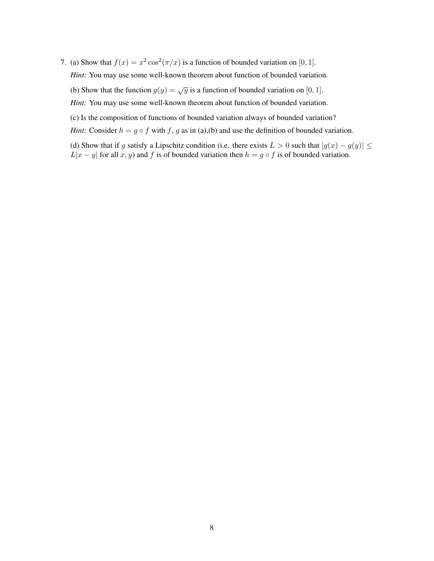7. (a) Show that  $f(x) = x^2 \cos^2(\pi/x)$  is a function of bounded variation on [0, 1].

*Hint:* You may use some well-known theorem about function of bounded variation.

- (b) Show that the function  $g(y) = \sqrt{y}$  is a function of bounded variation on [0, 1].
- *Hint:* You may use some well-known theorem about function of bounded variation.
- (c) Is the composition of functions of bounded variation always of bounded variation?
- *Hint:* Consider  $h = g \circ f$  with f, g as in (a),(b) and use the definition of bounded variation.
- (d) Show that if g satisfy a Lipschitz condition (i.e. there exists  $L > 0$  such that  $|g(x) g(y)| \le$  $L|x - y|$  for all  $x, y$  and  $f$  is of bounded variation then  $h = g \circ f$  is of bounded variation.